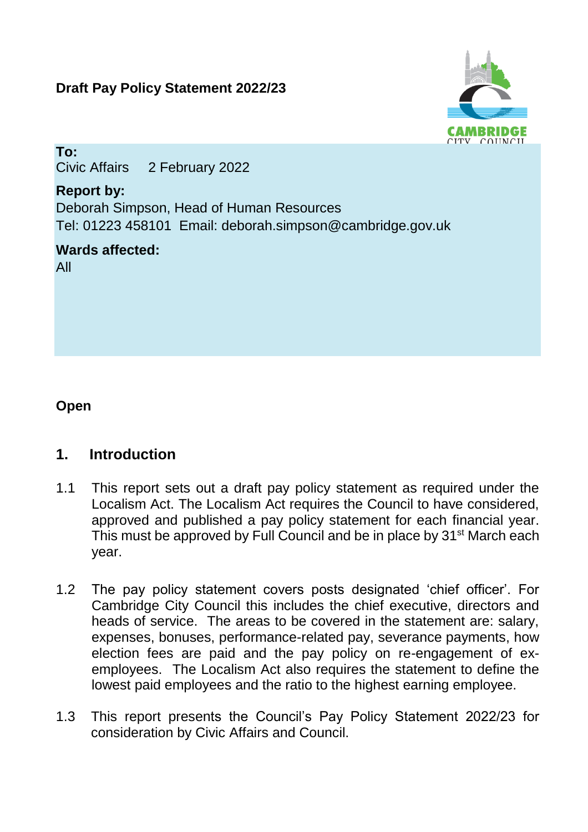# **Draft Pay Policy Statement 2022/23**



**To:** Civic Affairs 2 February 2022

# **Report by:**

Deborah Simpson, Head of Human Resources Tel: 01223 458101 Email: deborah.simpson@cambridge.gov.uk

# **Wards affected:**

All

# **Open**

# **1. Introduction**

- 1.1 This report sets out a draft pay policy statement as required under the Localism Act. The Localism Act requires the Council to have considered, approved and published a pay policy statement for each financial year. This must be approved by Full Council and be in place by 31<sup>st</sup> March each year.
- 1.2 The pay policy statement covers posts designated 'chief officer'. For Cambridge City Council this includes the chief executive, directors and heads of service. The areas to be covered in the statement are: salary, expenses, bonuses, performance-related pay, severance payments, how election fees are paid and the pay policy on re-engagement of exemployees. The Localism Act also requires the statement to define the lowest paid employees and the ratio to the highest earning employee.
- 1.3 This report presents the Council's Pay Policy Statement 2022/23 for consideration by Civic Affairs and Council.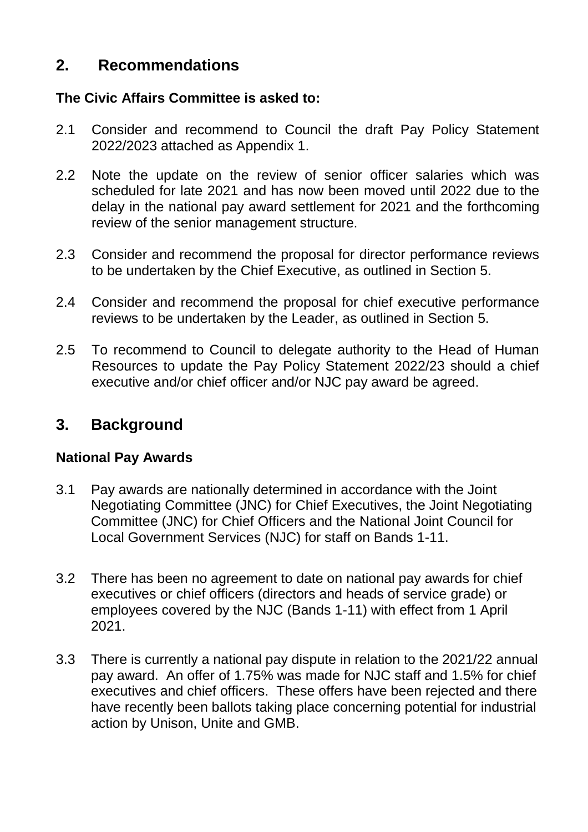# **2. Recommendations**

# **The Civic Affairs Committee is asked to:**

- 2.1 Consider and recommend to Council the draft Pay Policy Statement 2022/2023 attached as Appendix 1.
- 2.2 Note the update on the review of senior officer salaries which was scheduled for late 2021 and has now been moved until 2022 due to the delay in the national pay award settlement for 2021 and the forthcoming review of the senior management structure.
- 2.3 Consider and recommend the proposal for director performance reviews to be undertaken by the Chief Executive, as outlined in Section 5.
- 2.4 Consider and recommend the proposal for chief executive performance reviews to be undertaken by the Leader, as outlined in Section 5.
- 2.5 To recommend to Council to delegate authority to the Head of Human Resources to update the Pay Policy Statement 2022/23 should a chief executive and/or chief officer and/or NJC pay award be agreed.

# **3. Background**

### **National Pay Awards**

- 3.1 Pay awards are nationally determined in accordance with the Joint Negotiating Committee (JNC) for Chief Executives, the Joint Negotiating Committee (JNC) for Chief Officers and the National Joint Council for Local Government Services (NJC) for staff on Bands 1-11.
- 3.2 There has been no agreement to date on national pay awards for chief executives or chief officers (directors and heads of service grade) or employees covered by the NJC (Bands 1-11) with effect from 1 April 2021.
- 3.3 There is currently a national pay dispute in relation to the 2021/22 annual pay award. An offer of 1.75% was made for NJC staff and 1.5% for chief executives and chief officers. These offers have been rejected and there have recently been ballots taking place concerning potential for industrial action by Unison, Unite and GMB.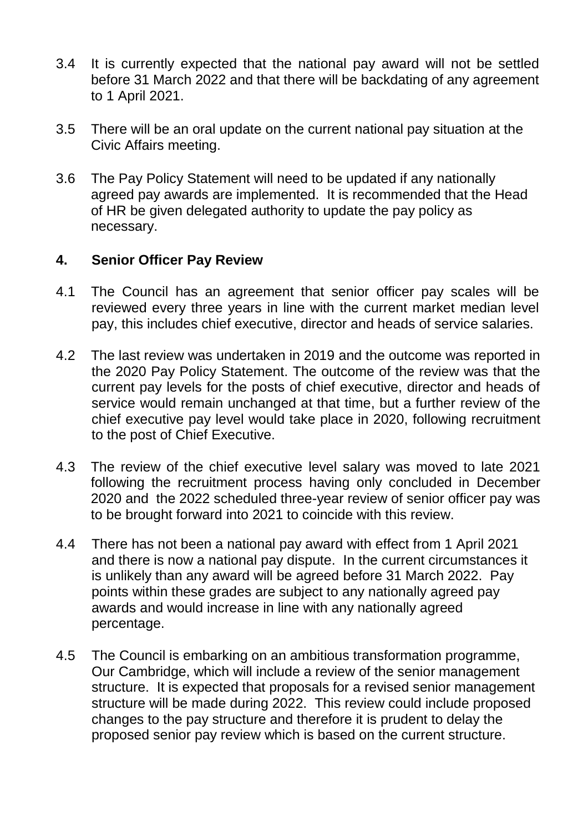- 3.4 It is currently expected that the national pay award will not be settled before 31 March 2022 and that there will be backdating of any agreement to 1 April 2021.
- 3.5 There will be an oral update on the current national pay situation at the Civic Affairs meeting.
- 3.6 The Pay Policy Statement will need to be updated if any nationally agreed pay awards are implemented. It is recommended that the Head of HR be given delegated authority to update the pay policy as necessary.

### **4. Senior Officer Pay Review**

- 4.1 The Council has an agreement that senior officer pay scales will be reviewed every three years in line with the current market median level pay, this includes chief executive, director and heads of service salaries.
- 4.2 The last review was undertaken in 2019 and the outcome was reported in the 2020 Pay Policy Statement. The outcome of the review was that the current pay levels for the posts of chief executive, director and heads of service would remain unchanged at that time, but a further review of the chief executive pay level would take place in 2020, following recruitment to the post of Chief Executive.
- 4.3 The review of the chief executive level salary was moved to late 2021 following the recruitment process having only concluded in December 2020 and the 2022 scheduled three-year review of senior officer pay was to be brought forward into 2021 to coincide with this review.
- 4.4 There has not been a national pay award with effect from 1 April 2021 and there is now a national pay dispute. In the current circumstances it is unlikely than any award will be agreed before 31 March 2022. Pay points within these grades are subject to any nationally agreed pay awards and would increase in line with any nationally agreed percentage.
- 4.5 The Council is embarking on an ambitious transformation programme, Our Cambridge, which will include a review of the senior management structure. It is expected that proposals for a revised senior management structure will be made during 2022. This review could include proposed changes to the pay structure and therefore it is prudent to delay the proposed senior pay review which is based on the current structure.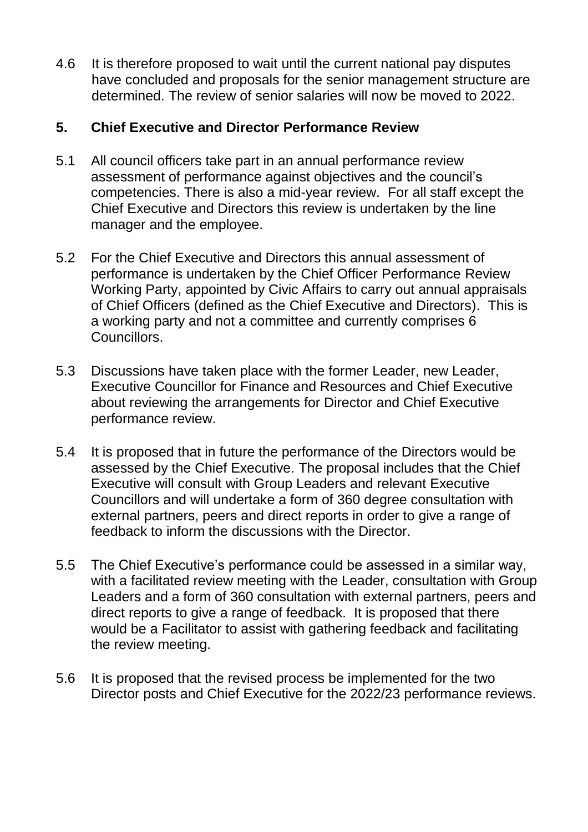4.6 It is therefore proposed to wait until the current national pay disputes have concluded and proposals for the senior management structure are determined. The review of senior salaries will now be moved to 2022.

# **5. Chief Executive and Director Performance Review**

- 5.1 All council officers take part in an annual performance review assessment of performance against objectives and the council's competencies. There is also a mid-year review. For all staff except the Chief Executive and Directors this review is undertaken by the line manager and the employee.
- 5.2 For the Chief Executive and Directors this annual assessment of performance is undertaken by the Chief Officer Performance Review Working Party, appointed by Civic Affairs to carry out annual appraisals of Chief Officers (defined as the Chief Executive and Directors). This is a working party and not a committee and currently comprises 6 Councillors.
- 5.3 Discussions have taken place with the former Leader, new Leader, Executive Councillor for Finance and Resources and Chief Executive about reviewing the arrangements for Director and Chief Executive performance review.
- 5.4 It is proposed that in future the performance of the Directors would be assessed by the Chief Executive. The proposal includes that the Chief Executive will consult with Group Leaders and relevant Executive Councillors and will undertake a form of 360 degree consultation with external partners, peers and direct reports in order to give a range of feedback to inform the discussions with the Director.
- 5.5 The Chief Executive's performance could be assessed in a similar way, with a facilitated review meeting with the Leader, consultation with Group Leaders and a form of 360 consultation with external partners, peers and direct reports to give a range of feedback. It is proposed that there would be a Facilitator to assist with gathering feedback and facilitating the review meeting.
- 5.6 It is proposed that the revised process be implemented for the two Director posts and Chief Executive for the 2022/23 performance reviews.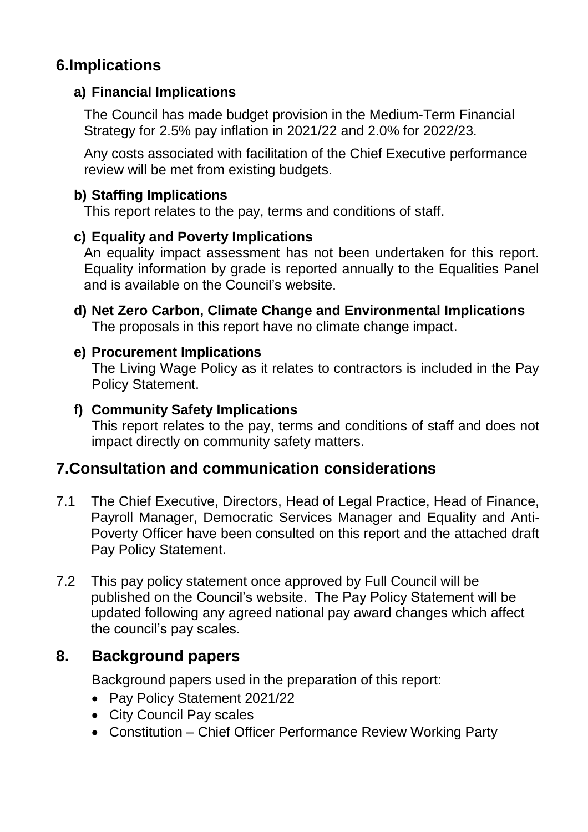# **6.Implications**

# **a) Financial Implications**

The Council has made budget provision in the Medium-Term Financial Strategy for 2.5% pay inflation in 2021/22 and 2.0% for 2022/23.

Any costs associated with facilitation of the Chief Executive performance review will be met from existing budgets.

# **b) Staffing Implications**

This report relates to the pay, terms and conditions of staff.

# **c) Equality and Poverty Implications**

An equality impact assessment has not been undertaken for this report. Equality information by grade is reported annually to the Equalities Panel and is available on the Council's website.

**d) Net Zero Carbon, Climate Change and Environmental Implications** The proposals in this report have no climate change impact.

### **e) Procurement Implications**

The Living Wage Policy as it relates to contractors is included in the Pay Policy Statement.

# **f) Community Safety Implications**

This report relates to the pay, terms and conditions of staff and does not impact directly on community safety matters.

# **7.Consultation and communication considerations**

- 7.1 The Chief Executive, Directors, Head of Legal Practice, Head of Finance, Payroll Manager, Democratic Services Manager and Equality and Anti-Poverty Officer have been consulted on this report and the attached draft Pay Policy Statement.
- 7.2 This pay policy statement once approved by Full Council will be published on the Council's website. The Pay Policy Statement will be updated following any agreed national pay award changes which affect the council's pay scales.

# **8. Background papers**

Background papers used in the preparation of this report:

- Pay Policy Statement 2021/22
- City Council Pay scales
- Constitution Chief Officer Performance Review Working Party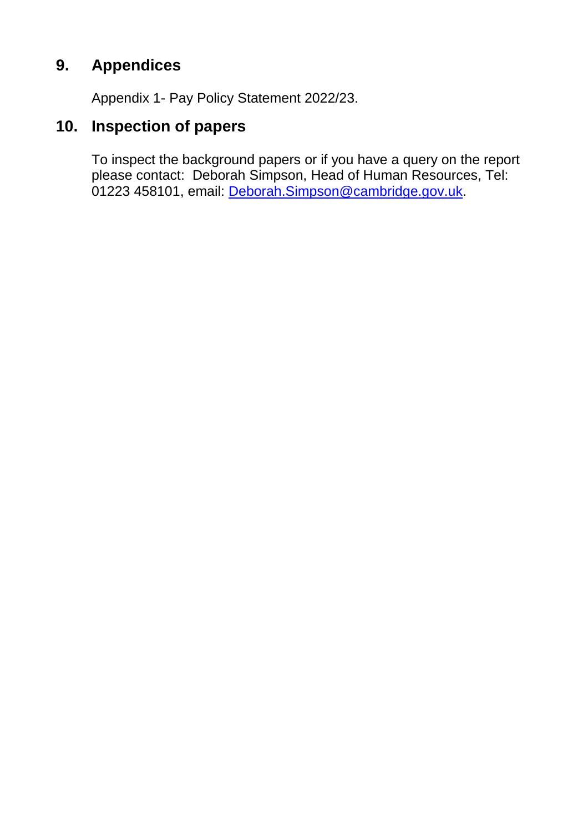# **9. Appendices**

Appendix 1- Pay Policy Statement 2022/23.

# **10. Inspection of papers**

To inspect the background papers or if you have a query on the report please contact: Deborah Simpson, Head of Human Resources, Tel: 01223 458101, email: Deborah.Simpson@cambridge.gov.uk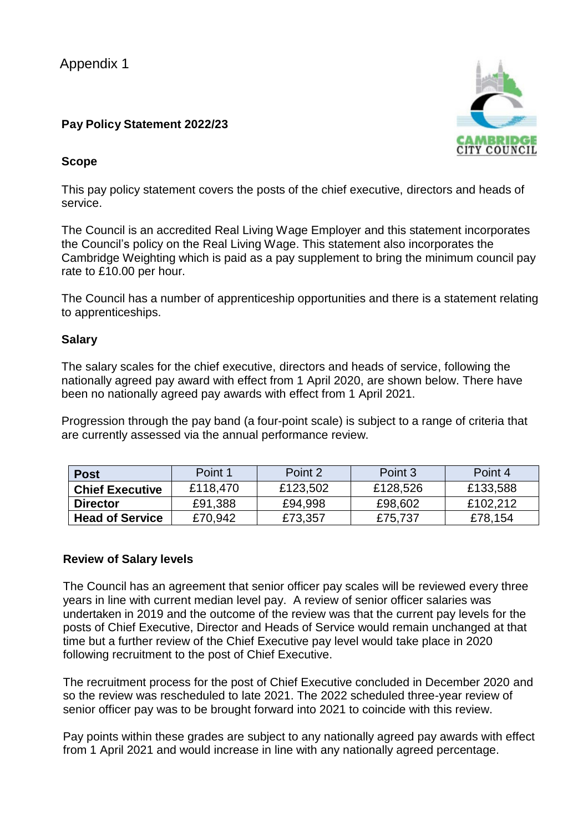Appendix 1

#### **Pay Policy Statement 2022/23**

#### **Scope**

This pay policy statement covers the posts of the chief executive, directors and heads of service.

The Council is an accredited Real Living Wage Employer and this statement incorporates the Council's policy on the Real Living Wage. This statement also incorporates the Cambridge Weighting which is paid as a pay supplement to bring the minimum council pay rate to £10.00 per hour.

The Council has a number of apprenticeship opportunities and there is a statement relating to apprenticeships.

#### **Salary**

The salary scales for the chief executive, directors and heads of service, following the nationally agreed pay award with effect from 1 April 2020, are shown below. There have been no nationally agreed pay awards with effect from 1 April 2021.

Progression through the pay band (a four-point scale) is subject to a range of criteria that are currently assessed via the annual performance review.

| <b>Post</b>            | Point 1  | Point 2  | Point 3  | Point 4  |
|------------------------|----------|----------|----------|----------|
| <b>Chief Executive</b> | £118,470 | £123,502 | £128,526 | £133,588 |
| <b>Director</b>        | £91,388  | £94,998  | £98,602  | £102,212 |
| <b>Head of Service</b> | £70,942  | £73,357  | £75,737  | £78,154  |

#### **Review of Salary levels**

The Council has an agreement that senior officer pay scales will be reviewed every three years in line with current median level pay. A review of senior officer salaries was undertaken in 2019 and the outcome of the review was that the current pay levels for the posts of Chief Executive, Director and Heads of Service would remain unchanged at that time but a further review of the Chief Executive pay level would take place in 2020 following recruitment to the post of Chief Executive.

The recruitment process for the post of Chief Executive concluded in December 2020 and so the review was rescheduled to late 2021. The 2022 scheduled three-year review of senior officer pay was to be brought forward into 2021 to coincide with this review.

Pay points within these grades are subject to any nationally agreed pay awards with effect from 1 April 2021 and would increase in line with any nationally agreed percentage.

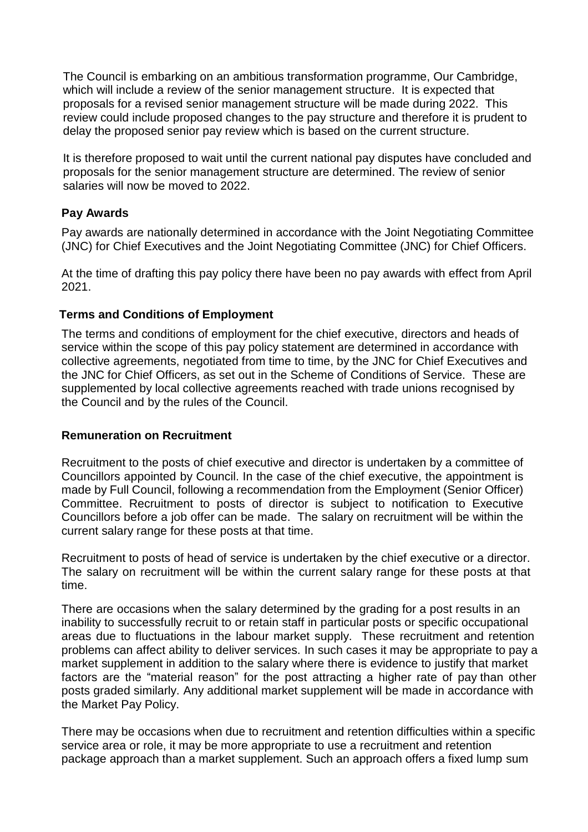The Council is embarking on an ambitious transformation programme, Our Cambridge, which will include a review of the senior management structure. It is expected that proposals for a revised senior management structure will be made during 2022. This review could include proposed changes to the pay structure and therefore it is prudent to delay the proposed senior pay review which is based on the current structure.

It is therefore proposed to wait until the current national pay disputes have concluded and proposals for the senior management structure are determined. The review of senior salaries will now be moved to 2022.

#### **Pay Awards**

Pay awards are nationally determined in accordance with the Joint Negotiating Committee (JNC) for Chief Executives and the Joint Negotiating Committee (JNC) for Chief Officers.

At the time of drafting this pay policy there have been no pay awards with effect from April 2021.

#### **Terms and Conditions of Employment**

The terms and conditions of employment for the chief executive, directors and heads of service within the scope of this pay policy statement are determined in accordance with collective agreements, negotiated from time to time, by the JNC for Chief Executives and the JNC for Chief Officers, as set out in the Scheme of Conditions of Service. These are supplemented by local collective agreements reached with trade unions recognised by the Council and by the rules of the Council.

#### **Remuneration on Recruitment**

Recruitment to the posts of chief executive and director is undertaken by a committee of Councillors appointed by Council. In the case of the chief executive, the appointment is made by Full Council, following a recommendation from the Employment (Senior Officer) Committee. Recruitment to posts of director is subject to notification to Executive Councillors before a job offer can be made. The salary on recruitment will be within the current salary range for these posts at that time.

Recruitment to posts of head of service is undertaken by the chief executive or a director. The salary on recruitment will be within the current salary range for these posts at that time.

There are occasions when the salary determined by the grading for a post results in an inability to successfully recruit to or retain staff in particular posts or specific occupational areas due to fluctuations in the labour market supply. These recruitment and retention problems can affect ability to deliver services. In such cases it may be appropriate to pay a market supplement in addition to the salary where there is evidence to justify that market factors are the "material reason" for the post attracting a higher rate of pay than other posts graded similarly. Any additional market supplement will be made in accordance with the Market Pay Policy.

There may be occasions when due to recruitment and retention difficulties within a specific service area or role, it may be more appropriate to use a recruitment and retention package approach than a market supplement. Such an approach offers a fixed lump sum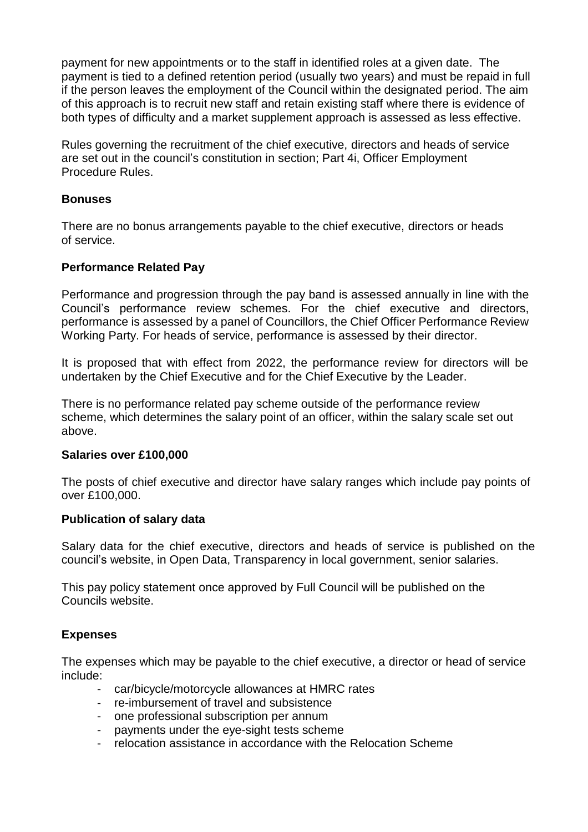payment for new appointments or to the staff in identified roles at a given date. The payment is tied to a defined retention period (usually two years) and must be repaid in full if the person leaves the employment of the Council within the designated period. The aim of this approach is to recruit new staff and retain existing staff where there is evidence of both types of difficulty and a market supplement approach is assessed as less effective.

Rules governing the recruitment of the chief executive, directors and heads of service are set out in the council's constitution in section; Part 4i, Officer Employment Procedure Rules.

#### **Bonuses**

There are no bonus arrangements payable to the chief executive, directors or heads of service.

#### **Performance Related Pay**

Performance and progression through the pay band is assessed annually in line with the Council's performance review schemes. For the chief executive and directors, performance is assessed by a panel of Councillors, the Chief Officer Performance Review Working Party. For heads of service, performance is assessed by their director.

It is proposed that with effect from 2022, the performance review for directors will be undertaken by the Chief Executive and for the Chief Executive by the Leader.

There is no performance related pay scheme outside of the performance review scheme, which determines the salary point of an officer, within the salary scale set out above.

#### **Salaries over £100,000**

The posts of chief executive and director have salary ranges which include pay points of over £100,000.

#### **Publication of salary data**

Salary data for the chief executive, directors and heads of service is published on the council's website, in Open Data, Transparency in local government, senior salaries.

This pay policy statement once approved by Full Council will be published on the Councils website.

#### **Expenses**

The expenses which may be payable to the chief executive, a director or head of service include:

- car/bicycle/motorcycle allowances at HMRC rates
- re-imbursement of travel and subsistence
- one professional subscription per annum
- payments under the eye-sight tests scheme
- relocation assistance in accordance with the Relocation Scheme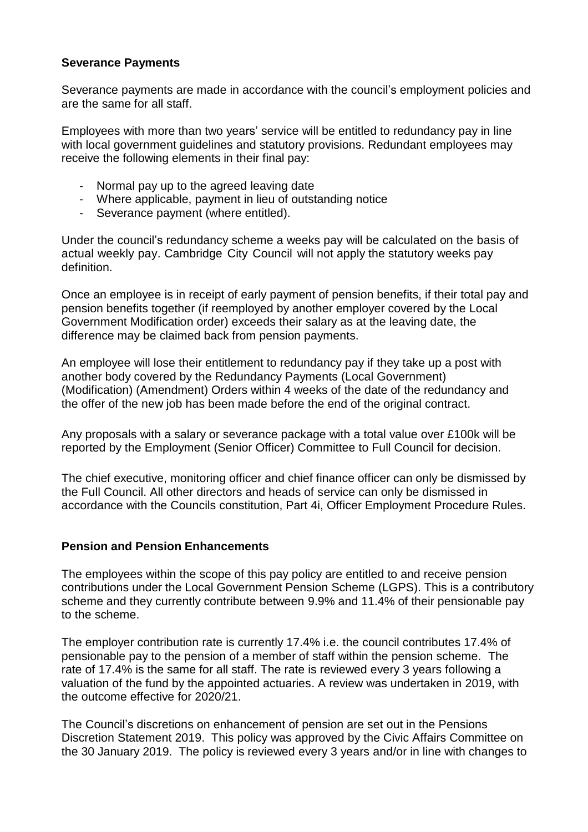#### **Severance Payments**

Severance payments are made in accordance with the council's employment policies and are the same for all staff.

Employees with more than two years' service will be entitled to redundancy pay in line with local government guidelines and statutory provisions. Redundant employees may receive the following elements in their final pay:

- Normal pay up to the agreed leaving date
- Where applicable, payment in lieu of outstanding notice
- Severance payment (where entitled).

Under the council's redundancy scheme a weeks pay will be calculated on the basis of actual weekly pay. Cambridge City Council will not apply the statutory weeks pay definition.

Once an employee is in receipt of early payment of pension benefits, if their total pay and pension benefits together (if reemployed by another employer covered by the Local Government Modification order) exceeds their salary as at the leaving date, the difference may be claimed back from pension payments.

An employee will lose their entitlement to redundancy pay if they take up a post with another body covered by the Redundancy Payments (Local Government) (Modification) (Amendment) Orders within 4 weeks of the date of the redundancy and the offer of the new job has been made before the end of the original contract.

Any proposals with a salary or severance package with a total value over £100k will be reported by the Employment (Senior Officer) Committee to Full Council for decision.

The chief executive, monitoring officer and chief finance officer can only be dismissed by the Full Council. All other directors and heads of service can only be dismissed in accordance with the Councils constitution, Part 4i, Officer Employment Procedure Rules.

#### **Pension and Pension Enhancements**

The employees within the scope of this pay policy are entitled to and receive pension contributions under the Local Government Pension Scheme (LGPS). This is a contributory scheme and they currently contribute between 9.9% and 11.4% of their pensionable pay to the scheme.

The employer contribution rate is currently 17.4% i.e. the council contributes 17.4% of pensionable pay to the pension of a member of staff within the pension scheme. The rate of 17.4% is the same for all staff. The rate is reviewed every 3 years following a valuation of the fund by the appointed actuaries. A review was undertaken in 2019, with the outcome effective for 2020/21.

The Council's discretions on enhancement of pension are set out in the Pensions Discretion Statement 2019. This policy was approved by the Civic Affairs Committee on the 30 January 2019. The policy is reviewed every 3 years and/or in line with changes to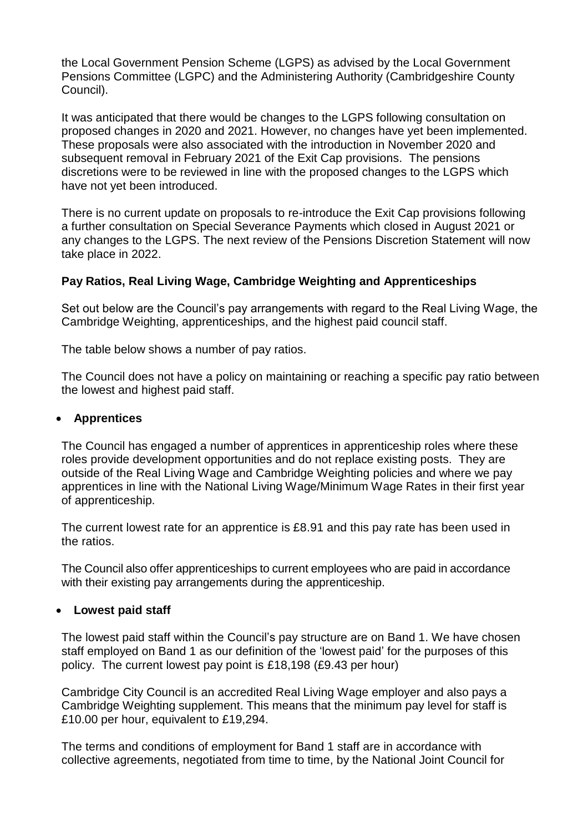the Local Government Pension Scheme (LGPS) as advised by the Local Government Pensions Committee (LGPC) and the Administering Authority (Cambridgeshire County Council).

It was anticipated that there would be changes to the LGPS following consultation on proposed changes in 2020 and 2021. However, no changes have yet been implemented. These proposals were also associated with the introduction in November 2020 and subsequent removal in February 2021 of the Exit Cap provisions. The pensions discretions were to be reviewed in line with the proposed changes to the LGPS which have not yet been introduced.

There is no current update on proposals to re-introduce the Exit Cap provisions following a further consultation on Special Severance Payments which closed in August 2021 or any changes to the LGPS. The next review of the Pensions Discretion Statement will now take place in 2022.

#### **Pay Ratios, Real Living Wage, Cambridge Weighting and Apprenticeships**

Set out below are the Council's pay arrangements with regard to the Real Living Wage, the Cambridge Weighting, apprenticeships, and the highest paid council staff.

The table below shows a number of pay ratios.

The Council does not have a policy on maintaining or reaching a specific pay ratio between the lowest and highest paid staff.

#### **Apprentices**

The Council has engaged a number of apprentices in apprenticeship roles where these roles provide development opportunities and do not replace existing posts. They are outside of the Real Living Wage and Cambridge Weighting policies and where we pay apprentices in line with the National Living Wage/Minimum Wage Rates in their first year of apprenticeship.

The current lowest rate for an apprentice is £8.91 and this pay rate has been used in the ratios.

The Council also offer apprenticeships to current employees who are paid in accordance with their existing pay arrangements during the apprenticeship.

#### **Lowest paid staff**

The lowest paid staff within the Council's pay structure are on Band 1. We have chosen staff employed on Band 1 as our definition of the 'lowest paid' for the purposes of this policy. The current lowest pay point is £18,198 (£9.43 per hour)

Cambridge City Council is an accredited Real Living Wage employer and also pays a Cambridge Weighting supplement. This means that the minimum pay level for staff is £10.00 per hour, equivalent to £19,294.

The terms and conditions of employment for Band 1 staff are in accordance with collective agreements, negotiated from time to time, by the National Joint Council for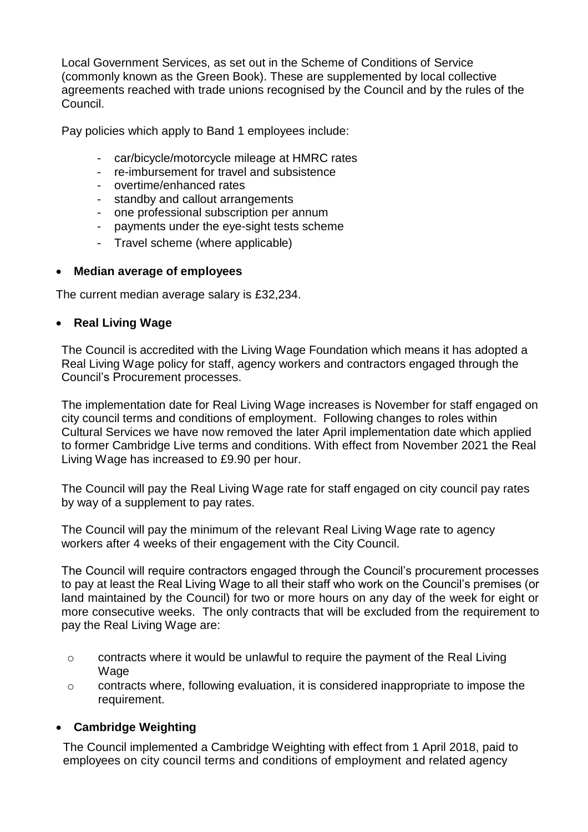Local Government Services, as set out in the Scheme of Conditions of Service (commonly known as the Green Book). These are supplemented by local collective agreements reached with trade unions recognised by the Council and by the rules of the Council.

Pay policies which apply to Band 1 employees include:

- car/bicycle/motorcycle mileage at HMRC rates
- re-imbursement for travel and subsistence
- overtime/enhanced rates
- standby and callout arrangements
- one professional subscription per annum
- payments under the eye-sight tests scheme
- Travel scheme (where applicable)

#### **Median average of employees**

The current median average salary is £32,234.

#### **Real Living Wage**

The Council is accredited with the Living Wage Foundation which means it has adopted a Real Living Wage policy for staff, agency workers and contractors engaged through the Council's Procurement processes.

The implementation date for Real Living Wage increases is November for staff engaged on city council terms and conditions of employment. Following changes to roles within Cultural Services we have now removed the later April implementation date which applied to former Cambridge Live terms and conditions. With effect from November 2021 the Real Living Wage has increased to £9.90 per hour.

The Council will pay the Real Living Wage rate for staff engaged on city council pay rates by way of a supplement to pay rates.

The Council will pay the minimum of the relevant Real Living Wage rate to agency workers after 4 weeks of their engagement with the City Council.

The Council will require contractors engaged through the Council's procurement processes to pay at least the Real Living Wage to all their staff who work on the Council's premises (or land maintained by the Council) for two or more hours on any day of the week for eight or more consecutive weeks. The only contracts that will be excluded from the requirement to pay the Real Living Wage are:

- $\circ$  contracts where it would be unlawful to require the payment of the Real Living Wage
- o contracts where, following evaluation, it is considered inappropriate to impose the requirement.

#### **Cambridge Weighting**

The Council implemented a Cambridge Weighting with effect from 1 April 2018, paid to employees on city council terms and conditions of employment and related agency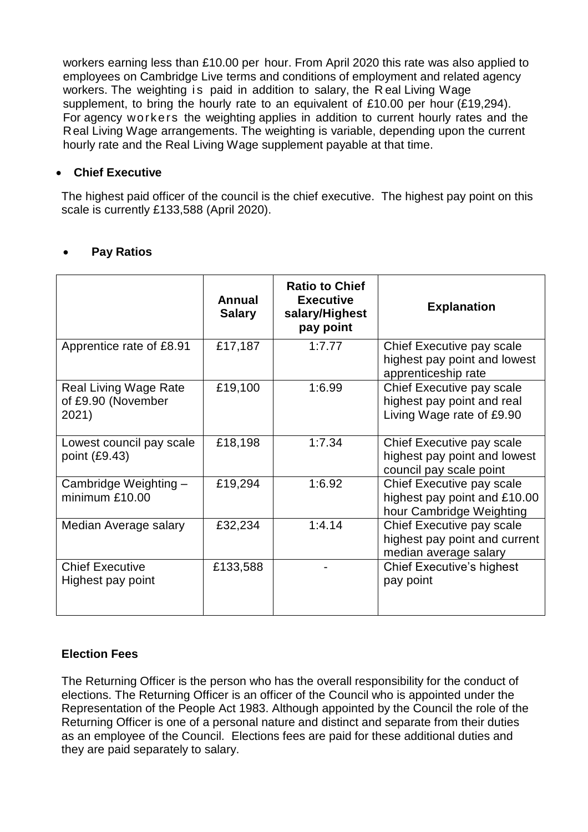workers earning less than £10.00 per hour. From April 2020 this rate was also applied to employees on Cambridge Live terms and conditions of employment and related agency workers. The weighting is paid in addition to salary, the Real Living Wage supplement, to bring the hourly rate to an equivalent of £10.00 per hour (£19,294). For agency workers the weighting applies in addition to current hourly rates and the Real Living Wage arrangements. The weighting is variable, depending upon the current hourly rate and the Real Living Wage supplement payable at that time.

#### **Chief Executive**

The highest paid officer of the council is the chief executive. The highest pay point on this scale is currently £133,588 (April 2020).

|                                                             | Annual<br><b>Salary</b> | <b>Ratio to Chief</b><br><b>Executive</b><br>salary/Highest<br>pay point | <b>Explanation</b>                                                                    |
|-------------------------------------------------------------|-------------------------|--------------------------------------------------------------------------|---------------------------------------------------------------------------------------|
| Apprentice rate of £8.91                                    | £17,187                 | 1:7.77                                                                   | Chief Executive pay scale<br>highest pay point and lowest<br>apprenticeship rate      |
| <b>Real Living Wage Rate</b><br>of £9.90 (November<br>2021) | £19,100                 | 1:6.99                                                                   | Chief Executive pay scale<br>highest pay point and real<br>Living Wage rate of £9.90  |
| Lowest council pay scale<br>point $(E9.43)$                 | £18,198                 | 1:7.34                                                                   | Chief Executive pay scale<br>highest pay point and lowest<br>council pay scale point  |
| Cambridge Weighting -<br>minimum £10.00                     | £19,294                 | 1:6.92                                                                   | Chief Executive pay scale<br>highest pay point and £10.00<br>hour Cambridge Weighting |
| Median Average salary                                       | £32,234                 | 1:4.14                                                                   | Chief Executive pay scale<br>highest pay point and current<br>median average salary   |
| <b>Chief Executive</b><br>Highest pay point                 | £133,588                |                                                                          | <b>Chief Executive's highest</b><br>pay point                                         |

### **Pay Ratios**

### **Election Fees**

The Returning Officer is the person who has the overall responsibility for the conduct of elections. The Returning Officer is an officer of the Council who is appointed under the Representation of the People Act 1983. Although appointed by the Council the role of the Returning Officer is one of a personal nature and distinct and separate from their duties as an employee of the Council. Elections fees are paid for these additional duties and they are paid separately to salary.